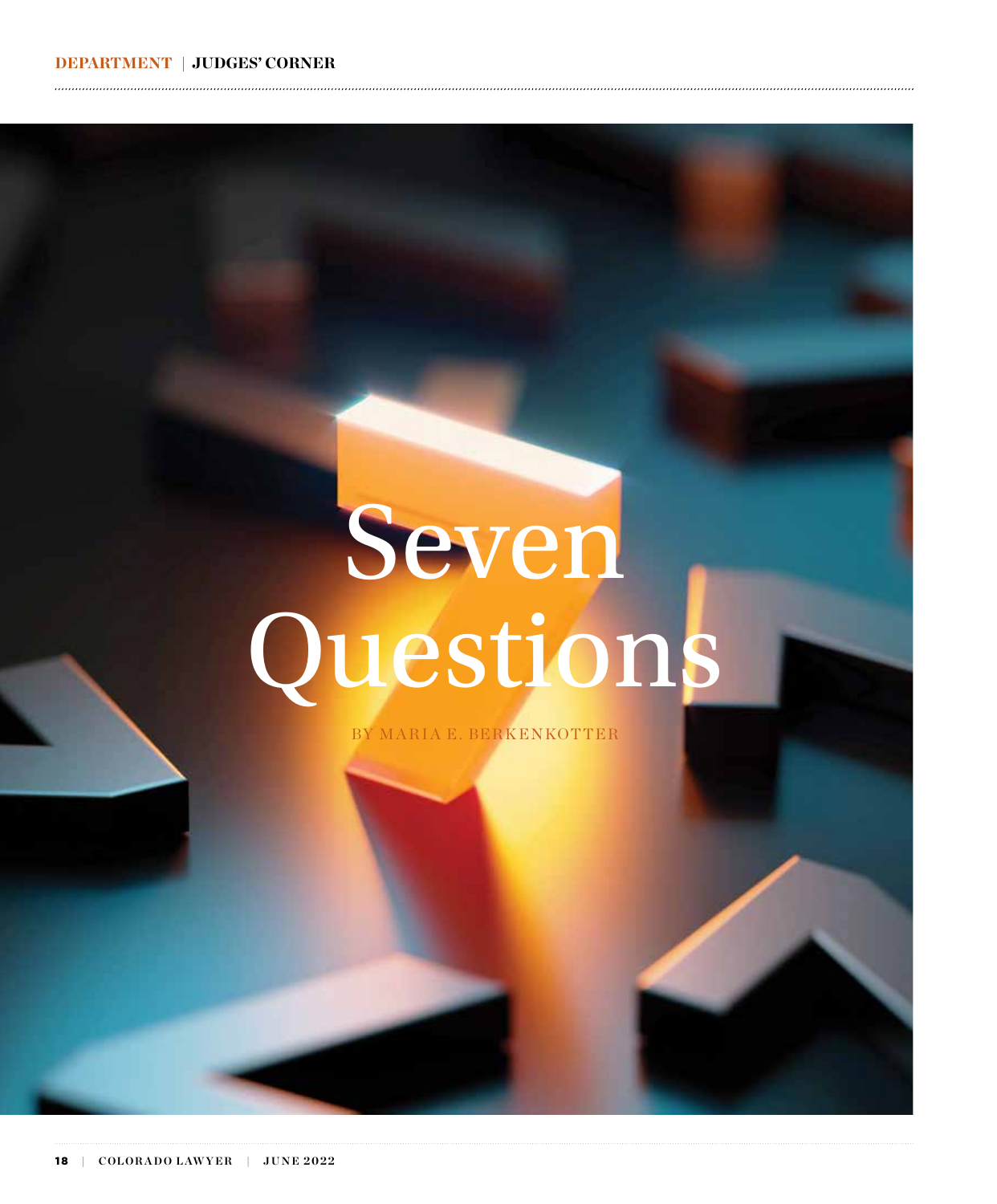# Seven Questions

BY MARIA E. BERKENKOTTER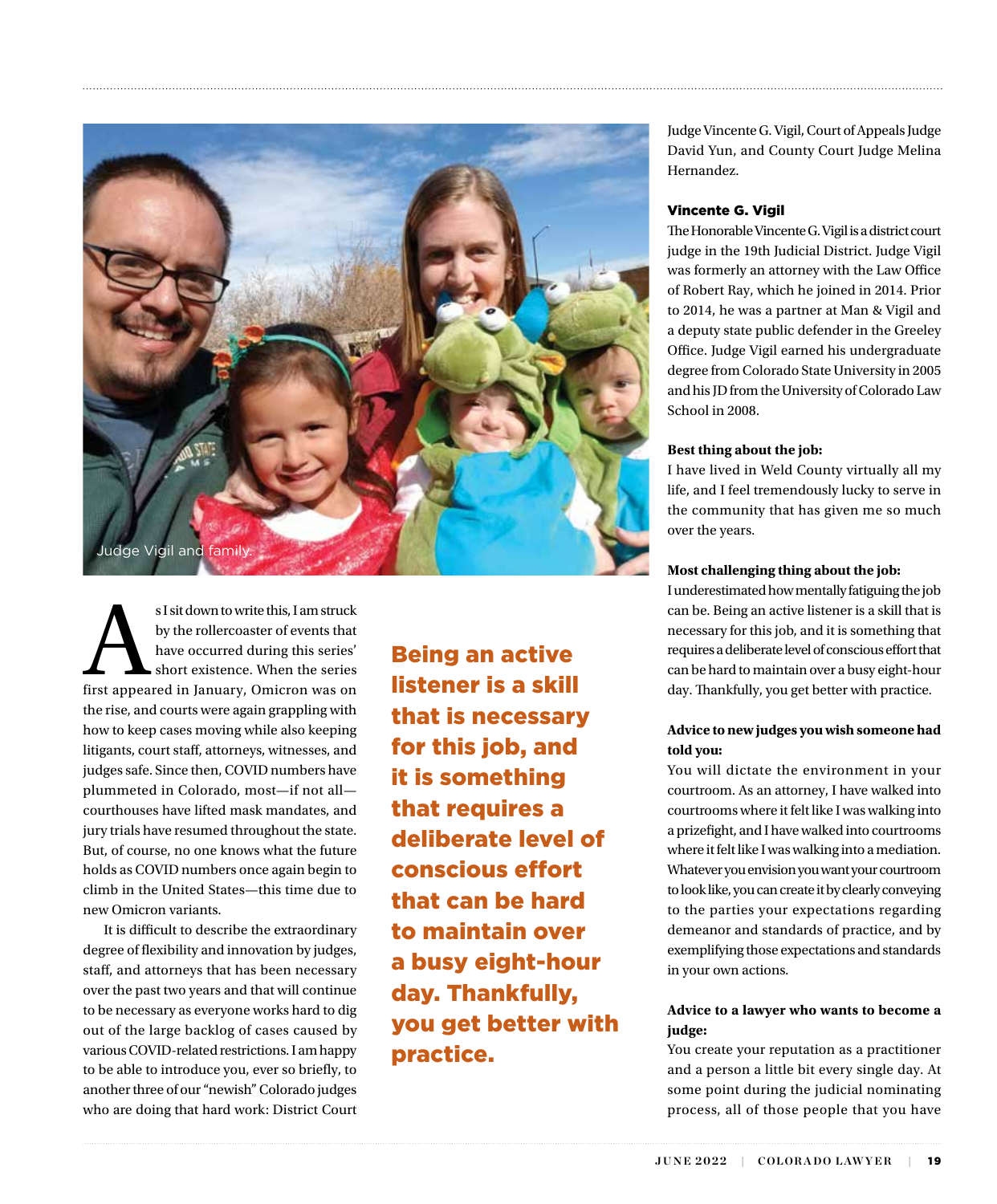

s I sit down to write this, I am struck<br>by the rollercoaster of events that<br>have occurred during this series'<br>short existence. When the series<br>first appeared in January, Omicron was on by the rollercoaster of events that have occurred during this series' short existence. When the series the rise, and courts were again grappling with how to keep cases moving while also keeping litigants, court staff, attorneys, witnesses, and judges safe. Since then, COVID numbers have plummeted in Colorado, most—if not all courthouses have lifted mask mandates, and jury trials have resumed throughout the state. But, of course, no one knows what the future holds as COVID numbers once again begin to climb in the United States—this time due to new Omicron variants.

It is difficult to describe the extraordinary degree of flexibility and innovation by judges, staff, and attorneys that has been necessary over the past two years and that will continue to be necessary as everyone works hard to dig out of the large backlog of cases caused by various COVID-related restrictions. I am happy to be able to introduce you, ever so briefly, to another three of our "newish" Colorado judges who are doing that hard work: District Court

Being an active listener is a skill that is necessary for this job, and it is something that requires a deliberate level of conscious effort that can be hard to maintain over a busy eight-hour day. Thankfully, you get better with practice.

Judge Vincente G. Vigil, Court of Appeals Judge David Yun, and County Court Judge Melina Hernandez.

# Vincente G. Vigil

The Honorable Vincente G. Vigil is a district court judge in the 19th Judicial District. Judge Vigil was formerly an attorney with the Law Office of Robert Ray, which he joined in 2014. Prior to 2014, he was a partner at Man & Vigil and a deputy state public defender in the Greeley Office. Judge Vigil earned his undergraduate degree from Colorado State University in 2005 and his JD from the University of Colorado Law School in 2008.

# **Best thing about the job:**

I have lived in Weld County virtually all my life, and I feel tremendously lucky to serve in the community that has given me so much over the years.

# **Most challenging thing about the job:**

I underestimated how mentally fatiguing the job can be. Being an active listener is a skill that is necessary for this job, and it is something that requires a deliberate level of conscious effort that can be hard to maintain over a busy eight-hour day. Thankfully, you get better with practice.

# **Advice to new judges you wish someone had told you:**

You will dictate the environment in your courtroom. As an attorney, I have walked into courtrooms where it felt like I was walking into a prizefight, and I have walked into courtrooms where it felt like I was walking into a mediation. Whatever you envision you want your courtroom to look like, you can create it by clearly conveying to the parties your expectations regarding demeanor and standards of practice, and by exemplifying those expectations and standards in your own actions.

# **Advice to a lawyer who wants to become a judge:**

You create your reputation as a practitioner and a person a little bit every single day. At some point during the judicial nominating process, all of those people that you have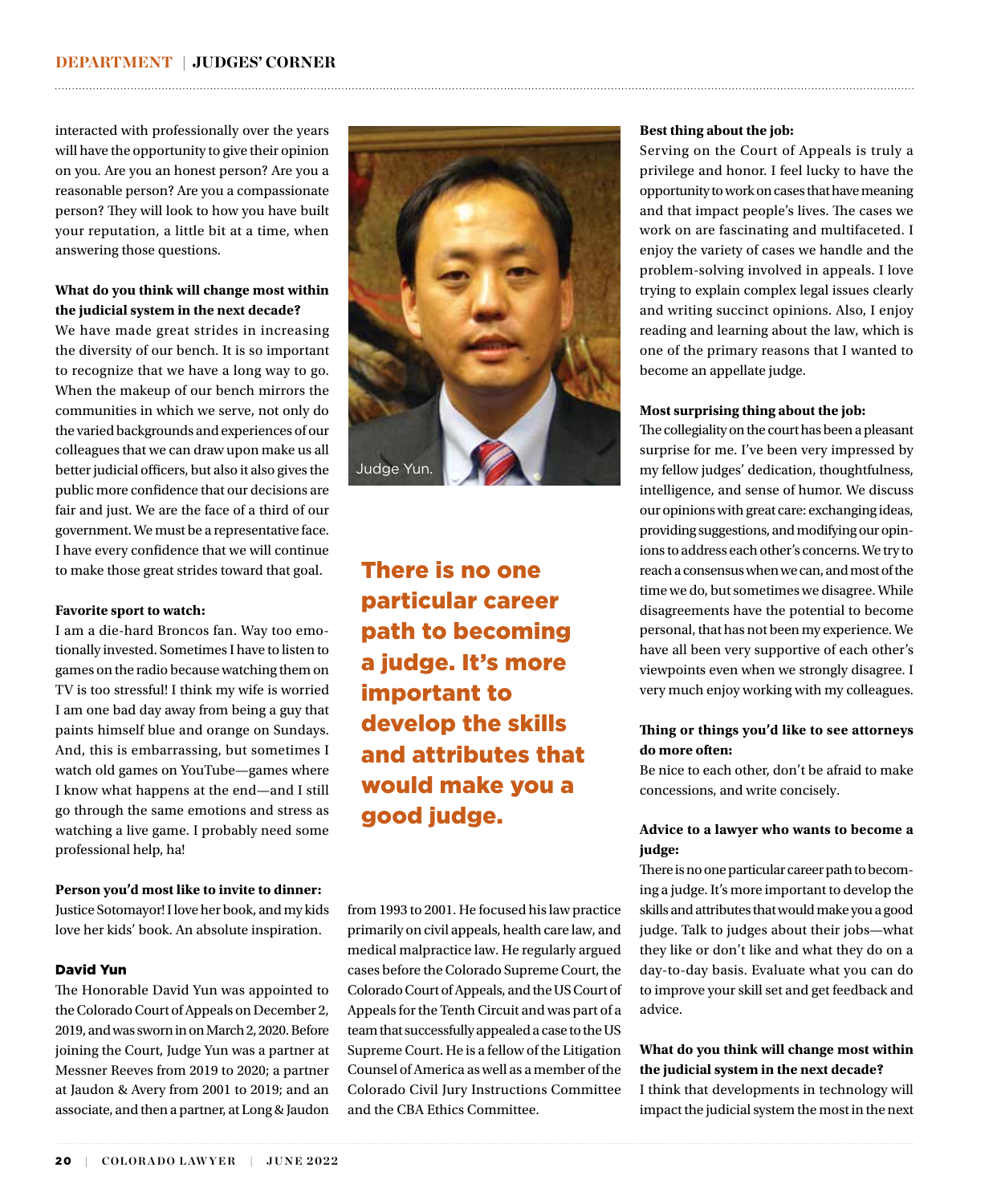interacted with professionally over the years will have the opportunity to give their opinion on you. Are you an honest person? Are you a reasonable person? Are you a compassionate person? They will look to how you have built your reputation, a little bit at a time, when answering those questions.

# **What do you think will change most within the judicial system in the next decade?**

We have made great strides in increasing the diversity of our bench. It is so important to recognize that we have a long way to go. When the makeup of our bench mirrors the communities in which we serve, not only do the varied backgrounds and experiences of our colleagues that we can draw upon make us all better judicial officers, but also it also gives the public more confidence that our decisions are fair and just. We are the face of a third of our government. We must be a representative face. I have every confidence that we will continue to make those great strides toward that goal.

# **Favorite sport to watch:**

I am a die-hard Broncos fan. Way too emotionally invested. Sometimes I have to listen to games on the radio because watching them on TV is too stressful! I think my wife is worried I am one bad day away from being a guy that paints himself blue and orange on Sundays. And, this is embarrassing, but sometimes I watch old games on YouTube—games where I know what happens at the end—and I still go through the same emotions and stress as watching a live game. I probably need some professional help, ha!

# **Person you'd most like to invite to dinner:**

Justice Sotomayor! I love her book, and my kids love her kids' book. An absolute inspiration.

# David Yun

The Honorable David Yun was appointed to the Colorado Court of Appeals on December 2, 2019, and was sworn in on March 2, 2020. Before joining the Court, Judge Yun was a partner at Messner Reeves from 2019 to 2020; a partner at Jaudon & Avery from 2001 to 2019; and an associate, and then a partner, at Long & Jaudon



# There is no one particular career path to becoming a judge. It's more important to develop the skills and attributes that would make you a good judge.

from 1993 to 2001. He focused his law practice primarily on civil appeals, health care law, and medical malpractice law. He regularly argued cases before the Colorado Supreme Court, the Colorado Court of Appeals, and the US Court of Appeals for the Tenth Circuit and was part of a team that successfully appealed a case to the US Supreme Court. He is a fellow of the Litigation Counsel of America as well as a member of the Colorado Civil Jury Instructions Committee and the CBA Ethics Committee.

# **Best thing about the job:**

Serving on the Court of Appeals is truly a privilege and honor. I feel lucky to have the opportunity to work on cases that have meaning and that impact people's lives. The cases we work on are fascinating and multifaceted. I enjoy the variety of cases we handle and the problem-solving involved in appeals. I love trying to explain complex legal issues clearly and writing succinct opinions. Also, I enjoy reading and learning about the law, which is one of the primary reasons that I wanted to become an appellate judge.

# **Most surprising thing about the job:**

The collegiality on the court has been a pleasant surprise for me. I've been very impressed by my fellow judges' dedication, thoughtfulness, intelligence, and sense of humor. We discuss our opinions with great care: exchanging ideas, providing suggestions, and modifying our opinions to address each other's concerns. We try to reach a consensus when we can, and most of the time we do, but sometimes we disagree. While disagreements have the potential to become personal, that has not been my experience. We have all been very supportive of each other's viewpoints even when we strongly disagree. I very much enjoy working with my colleagues.

# **Thing or things you'd like to see attorneys do more often:**

Be nice to each other, don't be afraid to make concessions, and write concisely.

# **Advice to a lawyer who wants to become a judge:**

There is no one particular career path to becoming a judge. It's more important to develop the skills and attributes that would make you a good judge. Talk to judges about their jobs—what they like or don't like and what they do on a day-to-day basis. Evaluate what you can do to improve your skill set and get feedback and advice.

# **What do you think will change most within the judicial system in the next decade?**

I think that developments in technology will impact the judicial system the most in the next